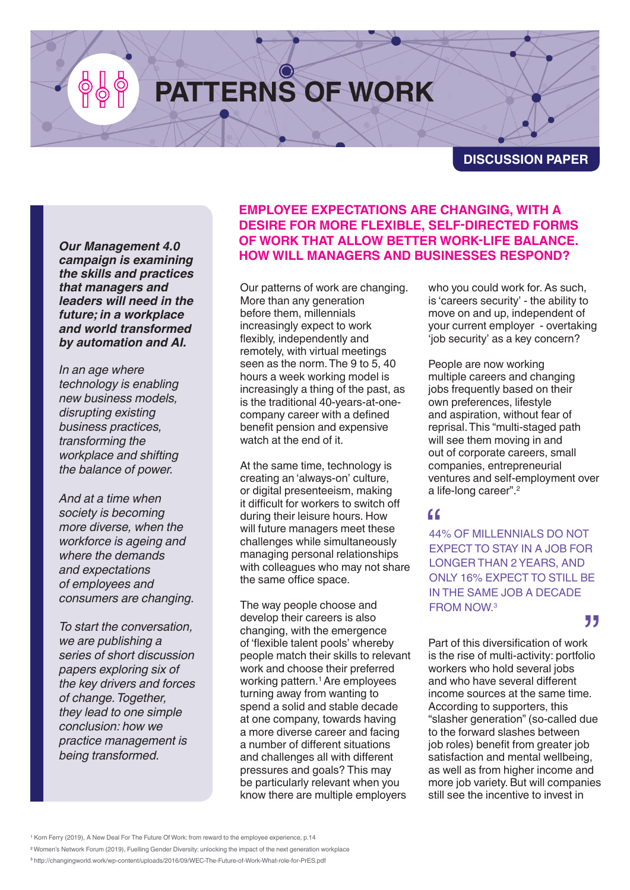# **PATTERNS OF WORK**

**DISCUSSION PAPER**

*Our Management 4.0 campaign is examining the skills and practices that managers and leaders will need in the future; in a workplace and world transformed by automation and AI.*

*In an age where technology is enabling new business models, disrupting existing business practices, transforming the workplace and shifting the balance of power.*

*And at a time when society is becoming more diverse, when the workforce is ageing and where the demands and expectations of employees and consumers are changing.*

*To start the conversation, we are publishing a series of short discussion papers exploring six of the key drivers and forces of change. Together, they lead to one simple conclusion: how we practice management is being transformed.*

#### **EMPLOYEE EXPECTATIONS ARE CHANGING, WITH A DESIRE FOR MORE FLEXIBLE, SELF-DIRECTED FORMS OF WORK THAT ALLOW BETTER WORK-LIFE BALANCE. HOW WILL MANAGERS AND BUSINESSES RESPOND?**

Our patterns of work are changing. More than any generation before them, millennials increasingly expect to work flexibly, independently and remotely, with virtual meetings seen as the norm. The 9 to 5, 40 hours a week working model is increasingly a thing of the past, as is the traditional 40-years-at-onecompany career with a defined benefit pension and expensive watch at the end of it.

At the same time, technology is creating an 'always-on' culture, or digital presenteeism, making it difficult for workers to switch off during their leisure hours. How will future managers meet these challenges while simultaneously managing personal relationships with colleagues who may not share the same office space.

The way people choose and develop their careers is also changing, with the emergence of 'flexible talent pools' whereby people match their skills to relevant work and choose their preferred working pattern.<sup>1</sup> Are employees turning away from wanting to spend a solid and stable decade at one company, towards having a more diverse career and facing a number of different situations and challenges all with different pressures and goals? This may be particularly relevant when you know there are multiple employers

who you could work for. As such, is 'careers security' - the ability to move on and up, independent of your current employer - overtaking 'job security' as a key concern?

People are now working multiple careers and changing jobs frequently based on their own preferences, lifestyle and aspiration, without fear of reprisal. This "multi-staged path will see them moving in and out of corporate careers, small companies, entrepreneurial ventures and self-employment over a life-long career".<sup>2</sup>

**ff**<br>44% OF MILLENNIALS DO NOT<br>EXPECT TO STAY IN A JOB FOR 44% OF MILLENNIALS DO NOT LONGER THAN 2 YEARS, AND ONLY 16% EXPECT TO STILL BE IN THE SAME JOB A DECADE FROM NOW.3

### "

Part of this diversification of work is the rise of multi-activity: portfolio workers who hold several jobs and who have several different income sources at the same time. According to supporters, this "slasher generation" (so-called due to the forward slashes between job roles) benefit from greater job satisfaction and mental wellbeing, as well as from higher income and more job variety. But will companies still see the incentive to invest in

<sup>1</sup> Korn Ferry (2019), A New Deal For The Future Of Work: from reward to the employee experience, p.14

<sup>2</sup> Women's Network Forum (2019), Fuelling Gender Diversity: unlocking the impact of the next generation workplace

<sup>3</sup> http://changingworld.work/wp-content/uploads/2016/09/WEC-The-Future-of-Work-What-role-for-PrES.pdf